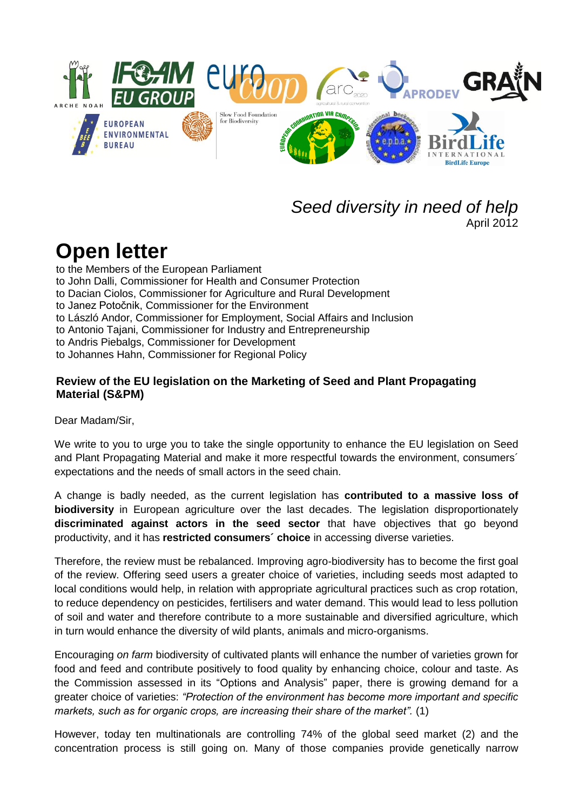

## *Seed diversity in need of help* April 2012

## **Open letter**

to the Members of the European Parliament to John Dalli, Commissioner for Health and Consumer Protection to Dacian Ciolos, Commissioner for Agriculture and Rural Development to Janez Potočnik, Commissioner for the Environment to László Andor, Commissioner for Employment, Social Affairs and Inclusion to Antonio Tajani, Commissioner for Industry and Entrepreneurship to Andris Piebalgs, Commissioner for Development to Johannes Hahn, Commissioner for Regional Policy

## **Review of the EU legislation on the Marketing of Seed and Plant Propagating Material (S&PM)**

Dear Madam/Sir,

We write to you to urge you to take the single opportunity to enhance the EU legislation on Seed and Plant Propagating Material and make it more respectful towards the environment, consumers´ expectations and the needs of small actors in the seed chain.

A change is badly needed, as the current legislation has **contributed to a massive loss of biodiversity** in European agriculture over the last decades. The legislation [disproportionately](http://www.dict.cc/englisch-deutsch/disproportionately.html) **discriminated against actors in the seed sector** that have objectives that go beyond productivity, and it has **restricted consumers´ choice** in accessing diverse varieties.

Therefore, the review must be rebalanced. Improving agro-biodiversity has to become the first goal of the review. Offering seed users a greater choice of varieties, including seeds most adapted to local conditions would help, in relation with appropriate agricultural practices such as crop rotation, to reduce dependency on pesticides, fertilisers and water demand. This would lead to less pollution of soil and water and therefore contribute to a more sustainable and diversified agriculture, which in turn would enhance the diversity of wild plants, animals and micro-organisms.

Encouraging *on farm* biodiversity of cultivated plants will enhance the number of varieties grown for food and feed and contribute positively to food quality by enhancing choice, colour and taste. As the Commission assessed in its "Options and Analysis" paper, there is growing demand for a greater choice of varieties: *"Protection of the environment has become more important and specific markets, such as for organic crops, are increasing their share of the market".* (1)

However, today ten multinationals are controlling 74% of the global seed market (2) and the concentration process is still going on. Many of those companies provide genetically narrow